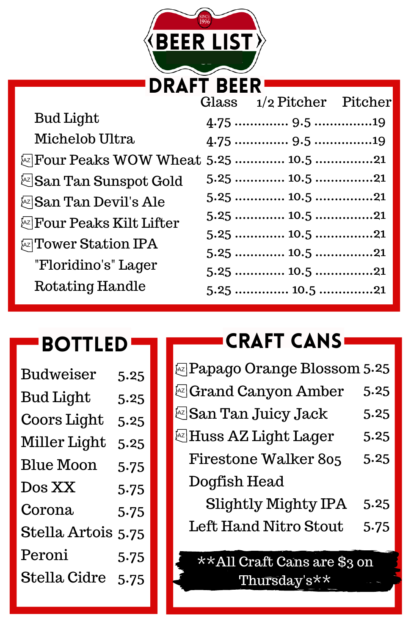

|                                     | Glass 1/2 Pitcher Pitcher |  |
|-------------------------------------|---------------------------|--|
| Bud Light                           |                           |  |
| Michelob Ultra                      |                           |  |
| @Four Peaks WOW Wheat 5.25  10.5 21 |                           |  |
| ks  San Tan Sunspot Gold            |                           |  |
| <b>Ex San Tan Devil's Ale</b>       |                           |  |
| <b>Ex</b> Four Peaks Kilt Lifter    |                           |  |
| <b>Ex</b> Tower Station IPA         | $5.25$ 10.5 21            |  |
|                                     |                           |  |
| "Floridino's" Lager                 | $5.25$ 10.5 21            |  |
| Rotating Handle                     |                           |  |

#### Bottled

| <b>Budweiser</b>   | 5.25 |
|--------------------|------|
| <b>Bud Light</b>   | 5.25 |
| Coors Light        | 5.25 |
| Miller Light       | 5.25 |
| <b>Blue Moon</b>   | 5.75 |
| Dos XX             | 5.75 |
| Corona             | 5.75 |
| Stella Artois 5.75 |      |
| Peroni             | 5.75 |
| Stella Cidre       | 5.75 |

## **CRAFT CANS**

| <b>Expage Orange Blossom 5.25</b> |      |
|-----------------------------------|------|
| & Grand Canyon Amber              | 5.25 |
| <b>ESan Tan Juicy Jack</b>        | 5.25 |
| E Huss AZ Light Lager             | 5.25 |
| <b>Firestone Walker 805</b>       | 5.25 |
| Dogfish Head                      |      |
| <b>Slightly Mighty IPA</b>        | 5.25 |
| <b>Left Hand Nitro Stout</b>      | 5.75 |
|                                   |      |

\*\*All Craft Cans are \$3 on Thursday's\*\*